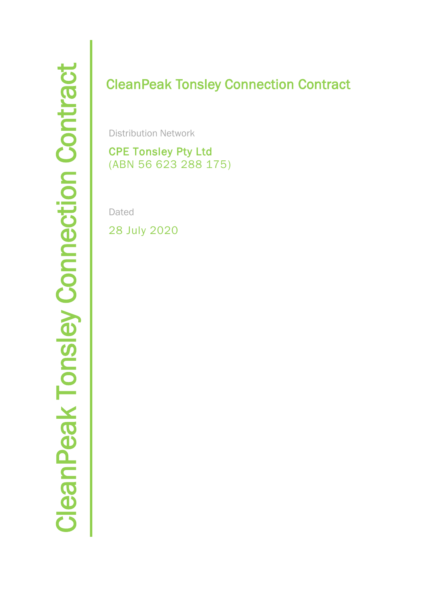# CleanPeak Tonsley Connection Contract

Distribution Network

CPE Tonsley Pty Ltd (ABN 56 623 288 175)

Dated

28 July 2020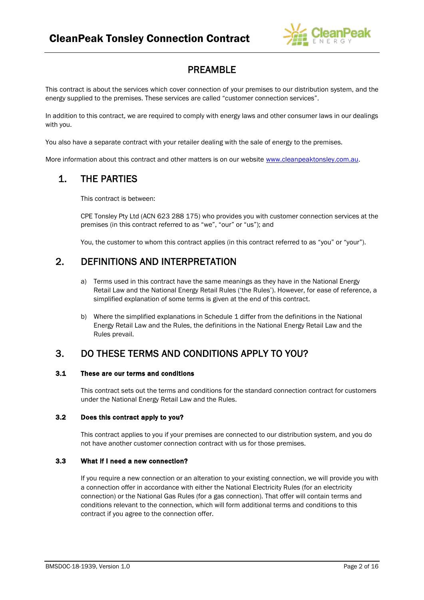

# PREAMBLE

This contract is about the services which cover connection of your premises to our distribution system, and the energy supplied to the premises. These services are called "customer connection services".

In addition to this contract, we are required to comply with energy laws and other consumer laws in our dealings with you.

You also have a separate contract with your retailer dealing with the sale of energy to the premises.

More information about this contract and other matters is on our website [www.cleanpeaktonsley.com.au.](http://www.cleanpeaktonsley.com.au/)

# 1. THE PARTIES

This contract is between:

CPE Tonsley Pty Ltd (ACN 623 288 175) who provides you with customer connection services at the premises (in this contract referred to as "we", "our" or "us"); and

You, the customer to whom this contract applies (in this contract referred to as "you" or "your").

# 2. DEFINITIONS AND INTERPRETATION

- a) Terms used in this contract have the same meanings as they have in the National Energy Retail Law and the National Energy Retail Rules ('the Rules'). However, for ease of reference, a simplified explanation of some terms is given at the end of this contract.
- b) Where the simplified explanations in Schedule 1 differ from the definitions in the National Energy Retail Law and the Rules, the definitions in the National Energy Retail Law and the Rules prevail.

# 3. DO THESE TERMS AND CONDITIONS APPLY TO YOU?

# 3.1 These are our terms and conditions

This contract sets out the terms and conditions for the standard connection contract for customers under the National Energy Retail Law and the Rules.

# 3.2 Does this contract apply to you?

This contract applies to you if your premises are connected to our distribution system, and you do not have another customer connection contract with us for those premises.

# 3.3 What if I need a new connection?

If you require a new connection or an alteration to your existing connection, we will provide you with a connection offer in accordance with either the National Electricity Rules (for an electricity connection) or the National Gas Rules (for a gas connection). That offer will contain terms and conditions relevant to the connection, which will form additional terms and conditions to this contract if you agree to the connection offer.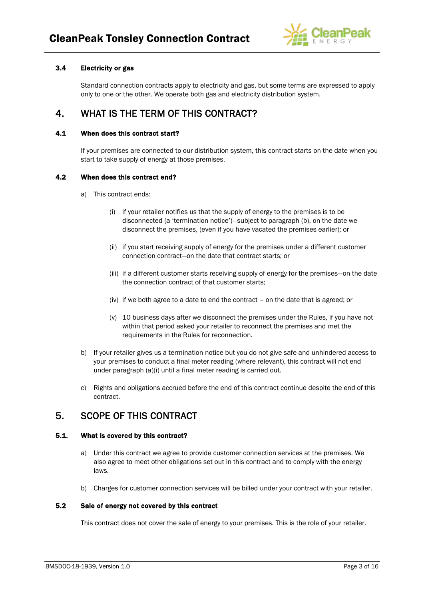

# 3.4 Electricity or gas

Standard connection contracts apply to electricity and gas, but some terms are expressed to apply only to one or the other. We operate both gas and electricity distribution system.

# 4. WHAT IS THE TERM OF THIS CONTRACT?

# 4.1 When does this contract start?

If your premises are connected to our distribution system, this contract starts on the date when you start to take supply of energy at those premises.

# 4.2 When does this contract end?

- a) This contract ends:
	- (i) if your retailer notifies us that the supply of energy to the premises is to be disconnected (a 'termination notice')—subject to paragraph (b), on the date we disconnect the premises, (even if you have vacated the premises earlier); or
	- (ii) if you start receiving supply of energy for the premises under a different customer connection contract—on the date that contract starts; or
	- (iii) if a different customer starts receiving supply of energy for the premises—on the date the connection contract of that customer starts;
	- (iv) if we both agree to a date to end the contract on the date that is agreed; or
	- (v) 10 business days after we disconnect the premises under the Rules, if you have not within that period asked your retailer to reconnect the premises and met the requirements in the Rules for reconnection.
- b) If your retailer gives us a termination notice but you do not give safe and unhindered access to your premises to conduct a final meter reading (where relevant), this contract will not end under paragraph (a)(i) until a final meter reading is carried out.
- c) Rights and obligations accrued before the end of this contract continue despite the end of this contract.

# 5. SCOPE OF THIS CONTRACT

# 5.1. What is covered by this contract?

- a) Under this contract we agree to provide customer connection services at the premises. We also agree to meet other obligations set out in this contract and to comply with the energy laws.
- b) Charges for customer connection services will be billed under your contract with your retailer.

#### 5.2 Sale of energy not covered by this contract

This contract does not cover the sale of energy to your premises. This is the role of your retailer.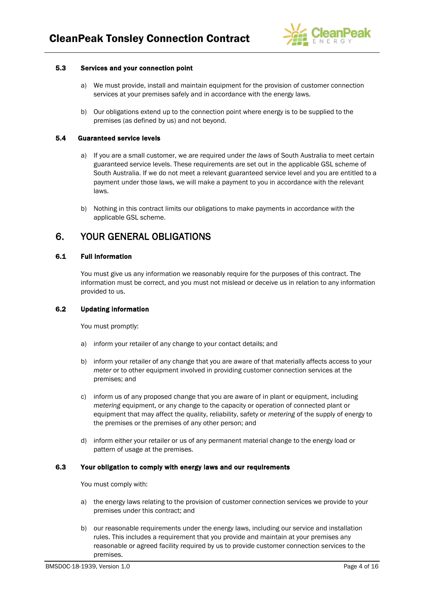

### 5.3 Services and your connection point

- a) We must provide, install and maintain equipment for the provision of customer connection services at your premises safely and in accordance with the energy laws.
- b) Our obligations extend up to the connection point where energy is to be supplied to the premises (as defined by us) and not beyond.

#### 5.4 Guaranteed service levels

- a) If you are a small customer, we are required under *the laws* of South Australia to meet certain guaranteed service levels. These requirements are set out in the applicable GSL scheme of South Australia. If we do not meet a relevant guaranteed service level and you are entitled to a payment under those laws, we will make a payment to you in accordance with the relevant laws.
- b) Nothing in this contract limits our obligations to make payments in accordance with the applicable GSL scheme.

# 6. YOUR GENERAL OBLIGATIONS

### 6.1 Full information

You must give us any information we reasonably require for the purposes of this contract. The information must be correct, and you must not mislead or deceive us in relation to any information provided to us.

### 6.2 Updating information

You must promptly:

- a) inform your retailer of any change to your contact details; and
- b) inform your retailer of any change that you are aware of that materially affects access to your *meter* or to other equipment involved in providing customer connection services at the premises; and
- c) inform us of any proposed change that you are aware of in plant or equipment, including *metering* equipment, or any change to the capacity or operation of connected plant or equipment that may affect the quality, reliability, safety or *metering* of the supply of energy to the premises or the premises of any other person; and
- d) inform either your retailer or us of any permanent material change to the energy load or pattern of usage at the premises.

#### 6.3 Your obligation to comply with energy laws and our requirements

You must comply with:

- a) the energy laws relating to the provision of customer connection services we provide to your premises under this contract; and
- b) our reasonable requirements under the energy laws, including our service and installation rules. This includes a requirement that you provide and maintain at your premises any reasonable or agreed facility required by us to provide customer connection services to the premises.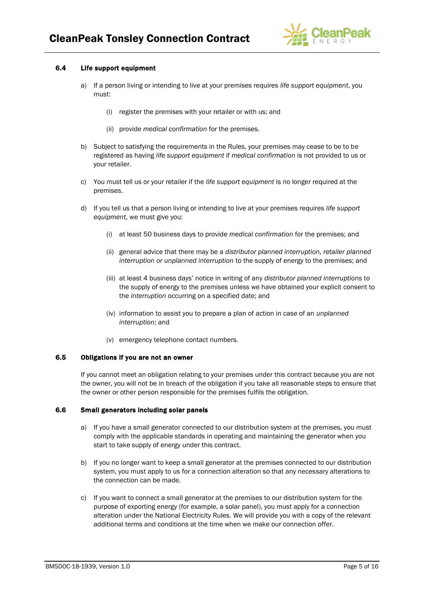

# 6.4 Life support equipment

- a) If a person living or intending to live at your premises requires *life support equipment*, you must:
	- (i) register the premises with your retailer or with us; and
	- (ii) provide *medical confirmation* for the premises.
- b) Subject to satisfying the requirements in the Rules, your premises may cease to be to be registered as having *life support equipment* if *medical confirmation* is not provided to us or your retailer.
- c) You must tell us or your retailer if the *life support equipment* is no longer required at the premises.
- d) If you tell us that a person living or intending to live at your premises requires *life support equipment*, we must give you:
	- (i) at least 50 business days to provide *medical confirmation* for the premises; and
	- (ii) general advice that there may be a *distributor planned interruption, retailer planned interruption or unplanned interruption* to the supply of energy to the premises; and
	- (iii) at least 4 business days' notice in writing of any *distributor planned interruptions* to the supply of energy to the premises unless we have obtained your explicit consent to the *interruption* occurring on a specified date; and
	- (iv) information to assist you to prepare a plan of action in case of an *unplanned interruption*; and
	- (v) emergency telephone contact numbers.

#### 6.5 Obligations if you are not an owner

If you cannot meet an obligation relating to your premises under this contract because you are not the owner, you will not be in breach of the obligation if you take all reasonable steps to ensure that the owner or other person responsible for the premises fulfils the obligation.

# 6.6 Small generators including solar panels

- a) If you have a small generator connected to our distribution system at the premises, you must comply with the applicable standards in operating and maintaining the generator when you start to take supply of energy under this contract.
- b) If you no longer want to keep a small generator at the premises connected to our distribution system, you must apply to us for a connection alteration so that any necessary alterations to the connection can be made.
- c) If you want to connect a small generator at the premises to our distribution system for the purpose of exporting energy (for example, a solar panel), you must apply for a connection alteration under the National Electricity Rules. We will provide you with a copy of the relevant additional terms and conditions at the time when we make our connection offer.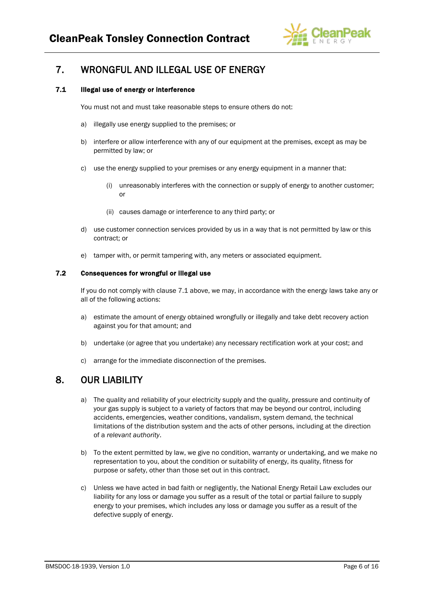

# 7. WRONGFUL AND ILLEGAL USE OF ENERGY

# 7.1 Illegal use of energy or interference

You must not and must take reasonable steps to ensure others do not:

- a) illegally use energy supplied to the premises; or
- b) interfere or allow interference with any of our equipment at the premises, except as may be permitted by law; or
- c) use the energy supplied to your premises or any energy equipment in a manner that:
	- (i) unreasonably interferes with the connection or supply of energy to another customer; or
	- (ii) causes damage or interference to any third party; or
- d) use customer connection services provided by us in a way that is not permitted by law or this contract; or
- e) tamper with, or permit tampering with, any meters or associated equipment.

### 7.2 Consequences for wrongful or illegal use

If you do not comply with clause 7.1 above, we may, in accordance with the energy laws take any or all of the following actions:

- a) estimate the amount of energy obtained wrongfully or illegally and take debt recovery action against you for that amount; and
- b) undertake (or agree that you undertake) any necessary rectification work at your cost; and
- c) arrange for the immediate disconnection of the premises.

# 8. OUR LIABILITY

- a) The quality and reliability of your electricity supply and the quality, pressure and continuity of your gas supply is subject to a variety of factors that may be beyond our control, including accidents, emergencies, weather conditions, vandalism, system demand, the technical limitations of the distribution system and the acts of other persons, including at the direction of a *relevant authority*.
- b) To the extent permitted by law, we give no condition, warranty or undertaking, and we make no representation to you, about the condition or suitability of energy, its quality, fitness for purpose or safety, other than those set out in this contract.
- c) Unless we have acted in bad faith or negligently, the National Energy Retail Law excludes our liability for any loss or damage you suffer as a result of the total or partial failure to supply energy to your premises, which includes any loss or damage you suffer as a result of the defective supply of energy.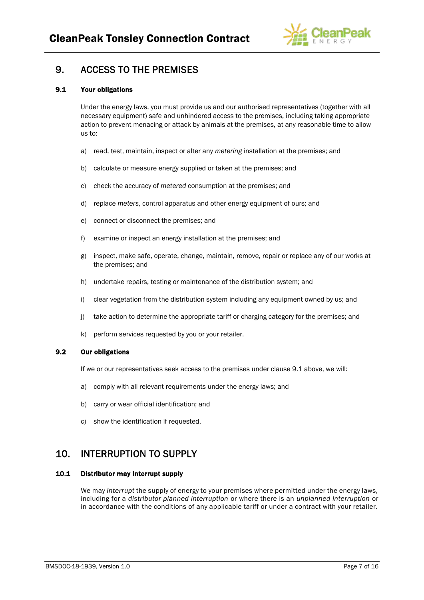

# 9. ACCESS TO THE PREMISES

# 9.1 Your obligations

Under the energy laws, you must provide us and our authorised representatives (together with all necessary equipment) safe and unhindered access to the premises, including taking appropriate action to prevent menacing or attack by animals at the premises, at any reasonable time to allow us to:

- a) read, test, maintain, inspect or alter any *metering* installation at the premises; and
- b) calculate or measure energy supplied or taken at the premises; and
- c) check the accuracy of *metered* consumption at the premises; and
- d) replace *meters*, control apparatus and other energy equipment of ours; and
- e) connect or disconnect the premises; and
- f) examine or inspect an energy installation at the premises; and
- g) inspect, make safe, operate, change, maintain, remove, repair or replace any of our works at the premises; and
- h) undertake repairs, testing or maintenance of the distribution system; and
- i) clear vegetation from the distribution system including any equipment owned by us; and
- j) take action to determine the appropriate tariff or charging category for the premises; and
- k) perform services requested by you or your retailer.

#### 9.2 Our obligations

If we or our representatives seek access to the premises under clause 9.1 above, we will:

- a) comply with all relevant requirements under the energy laws; and
- b) carry or wear official identification; and
- c) show the identification if requested.

# 10. INTERRUPTION TO SUPPLY

#### 10.1 Distributor may interrupt supply

We may *interrupt* the supply of energy to your premises where permitted under the energy laws, including for a *distributor planned interruption* or where there is an *unplanned interruption* or in accordance with the conditions of any applicable tariff or under a contract with your retailer.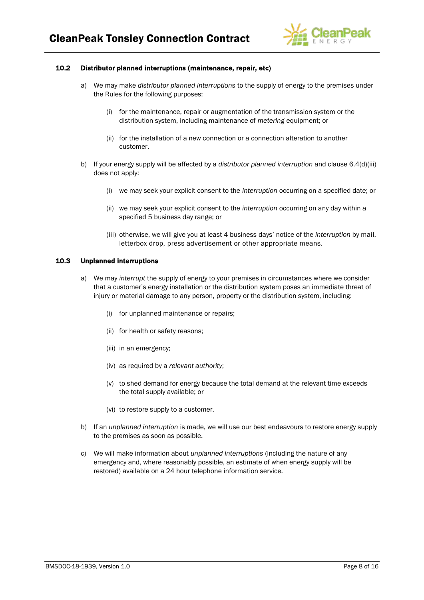

### 10.2 Distributor planned interruptions (maintenance, repair, etc)

- a) We may make *distributor planned interruptions* to the supply of energy to the premises under the Rules for the following purposes:
	- (i) for the maintenance, repair or augmentation of the transmission system or the distribution system, including maintenance of *metering* equipment; or
	- (ii) for the installation of a new connection or a connection alteration to another customer.
- b) If your energy supply will be affected by a *distributor planned interruption* and clause 6.4(d)(iii) does not apply:
	- (i) we may seek your explicit consent to the *interruption* occurring on a specified date; or
	- (ii) we may seek your explicit consent to the *interruption* occurring on any day within a specified 5 business day range; or
	- (iii) otherwise, we will give you at least 4 business days' notice of the *interruption* by mail, letterbox drop, press advertisement or other appropriate means.

### 10.3 Unplanned interruptions

- a) We may *interrupt* the supply of energy to your premises in circumstances where we consider that a customer's energy installation or the distribution system poses an immediate threat of injury or material damage to any person, property or the distribution system, including:
	- (i) for unplanned maintenance or repairs;
	- (ii) for health or safety reasons;
	- (iii) in an emergency;
	- (iv) as required by a *relevant authority*;
	- (v) to shed demand for energy because the total demand at the relevant time exceeds the total supply available; or
	- (vi) to restore supply to a customer.
- b) If an *unplanned interruption* is made, we will use our best endeavours to restore energy supply to the premises as soon as possible.
- c) We will make information about *unplanned interruptions* (including the nature of any emergency and, where reasonably possible, an estimate of when energy supply will be restored) available on a 24 hour telephone information service.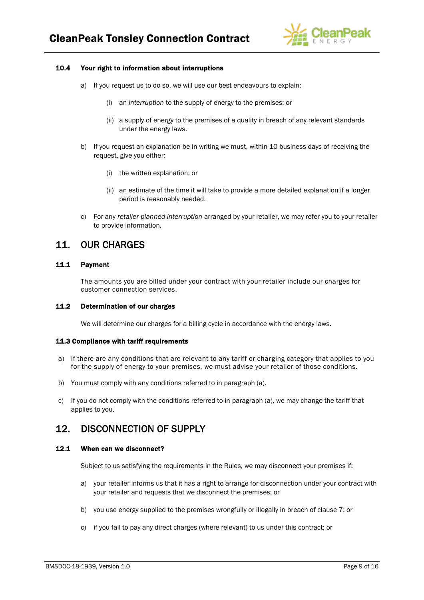

### 10.4 Your right to information about interruptions

- a) If you request us to do so, we will use our best endeavours to explain:
	- (i) an *interruption* to the supply of energy to the premises; or
	- (ii) a supply of energy to the premises of a quality in breach of any relevant standards under the energy laws.
- b) If you request an explanation be in writing we must, within 10 business days of receiving the request, give you either:
	- (i) the written explanation; or
	- (ii) an estimate of the time it will take to provide a more detailed explanation if a longer period is reasonably needed.
- c) For any *retailer planned interruption* arranged by your retailer, we may refer you to your retailer to provide information.

# 11. OUR CHARGES

### 11.1 Payment

The amounts you are billed under your contract with your retailer include our charges for customer connection services.

#### 11.2 Determination of our charges

We will determine our charges for a billing cycle in accordance with the energy laws.

#### 11.3 Compliance with tariff requirements

- a) If there are any conditions that are relevant to any tariff or charging category that applies to you for the supply of energy to your premises, we must advise your retailer of those conditions.
- b) You must comply with any conditions referred to in paragraph (a).
- c) If you do not comply with the conditions referred to in paragraph (a), we may change the tariff that applies to you.

# 12. DISCONNECTION OF SUPPLY

### 12.1 When can we disconnect?

Subject to us satisfying the requirements in the Rules, we may disconnect your premises if:

- a) your retailer informs us that it has a right to arrange for disconnection under your contract with your retailer and requests that we disconnect the premises; or
- b) you use energy supplied to the premises wrongfully or illegally in breach of clause 7; or
- c) if you fail to pay any direct charges (where relevant) to us under this contract; or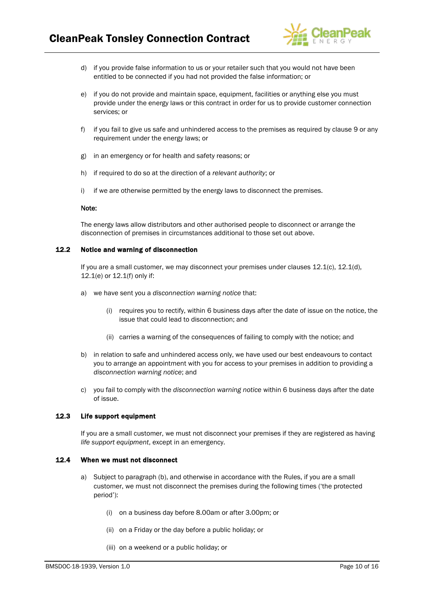

- d) if you provide false information to us or your retailer such that you would not have been entitled to be connected if you had not provided the false information; or
- e) if you do not provide and maintain space, equipment, facilities or anything else you must provide under the energy laws or this contract in order for us to provide customer connection services; or
- f) if you fail to give us safe and unhindered access to the premises as required by clause 9 or any requirement under the energy laws; or
- g) in an emergency or for health and safety reasons; or
- h) if required to do so at the direction of a *relevant authority*; or
- i) if we are otherwise permitted by the energy laws to disconnect the premises.

#### Note:

The energy laws allow distributors and other authorised people to disconnect or arrange the disconnection of premises in circumstances additional to those set out above.

#### 12.2 Notice and warning of disconnection

If you are a small customer, we may disconnect your premises under clauses 12.1(c), 12.1(d), 12.1(e) or 12.1(f) only if:

- a) we have sent you a *disconnection warning notice* that:
	- (i) requires you to rectify, within 6 business days after the date of issue on the notice, the issue that could lead to disconnection; and
	- (ii) carries a warning of the consequences of failing to comply with the notice; and
- b) in relation to safe and unhindered access only, we have used our best endeavours to contact you to arrange an appointment with you for access to your premises in addition to providing a *disconnection warning notice*; and
- c) you fail to comply with the *disconnection warning notice* within 6 business days after the date of issue.

#### 12.3 Life support equipment

If you are a small customer, we must not disconnect your premises if they are registered as having *life support equipment*, except in an emergency.

#### 12.4 When we must not disconnect

- a) Subject to paragraph (b), and otherwise in accordance with the Rules, if you are a small customer, we must not disconnect the premises during the following times ('the protected period'):
	- (i) on a business day before 8.00am or after 3.00pm; or
	- (ii) on a Friday or the day before a public holiday; or
	- (iii) on a weekend or a public holiday; or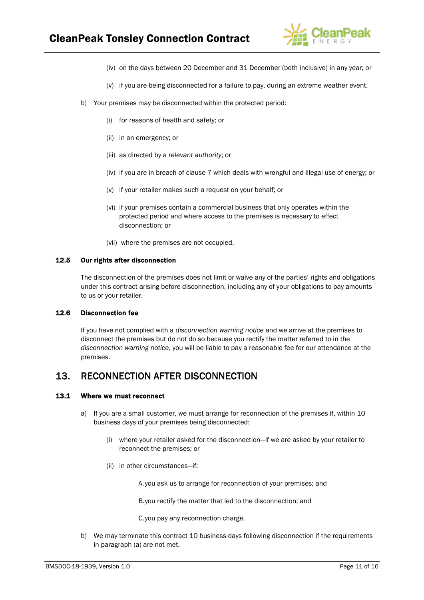

- (iv) on the days between 20 December and 31 December (both inclusive) in any year; or
- (v) if you are being disconnected for a failure to pay, during an extreme weather event.
- b) Your premises may be disconnected within the protected period:
	- (i) for reasons of health and safety; or
	- (ii) in an emergency; or
	- (iii) as directed by a *relevant authority*; or
	- (iv) if you are in breach of clause 7 which deals with wrongful and illegal use of energy; or
	- (v) if your retailer makes such a request on your behalf; or
	- (vi) if your premises contain a commercial business that only operates within the protected period and where access to the premises is necessary to effect disconnection; or
	- (vii) where the premises are not occupied.

### 12.5 Our rights after disconnection

The disconnection of the premises does not limit or waive any of the parties' rights and obligations under this contract arising before disconnection, including any of your obligations to pay amounts to us or your retailer.

#### 12.6 Disconnection fee

If you have not complied with a *disconnection warning notice* and we arrive at the premises to disconnect the premises but do not do so because you rectify the matter referred to in the *disconnection warning notice*, you will be liable to pay a reasonable fee for our attendance at the premises.

# 13. RECONNECTION AFTER DISCONNECTION

#### 13.1 Where we must reconnect

- a) If you are a small customer, we must arrange for reconnection of the premises if, within 10 business days of your premises being disconnected:
	- (i) where your retailer asked for the disconnection—if we are asked by your retailer to reconnect the premises; or
	- (ii) in other circumstances—if:

A. you ask us to arrange for reconnection of your premises; and

B.you rectify the matter that led to the disconnection; and

C.you pay any reconnection charge.

b) We may terminate this contract 10 business days following disconnection if the requirements in paragraph (a) are not met.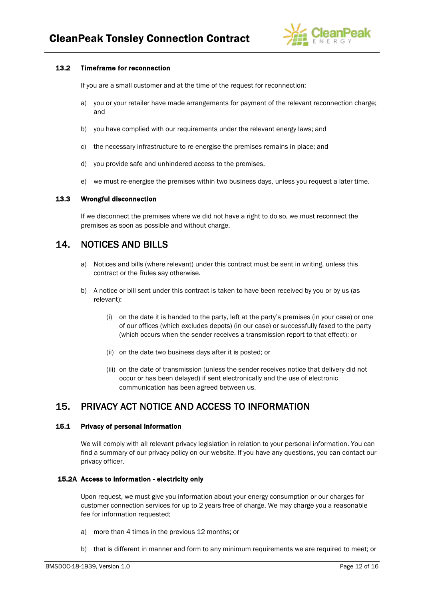

### 13.2 Timeframe for reconnection

If you are a small customer and at the time of the request for reconnection:

- a) you or your retailer have made arrangements for payment of the relevant reconnection charge; and
- b) you have complied with our requirements under the relevant energy laws; and
- c) the necessary infrastructure to re-energise the premises remains in place; and
- d) you provide safe and unhindered access to the premises,
- e) we must re-energise the premises within two business days, unless you request a later time.

### 13.3 Wrongful disconnection

If we disconnect the premises where we did not have a right to do so, we must reconnect the premises as soon as possible and without charge.

# 14. NOTICES AND BILLS

- a) Notices and bills (where relevant) under this contract must be sent in writing, unless this contract or the Rules say otherwise.
- b) A notice or bill sent under this contract is taken to have been received by you or by us (as relevant):
	- (i) on the date it is handed to the party, left at the party's premises (in your case) or one of our offices (which excludes depots) (in our case) or successfully faxed to the party (which occurs when the sender receives a transmission report to that effect); or
	- (ii) on the date two business days after it is posted; or
	- (iii) on the date of transmission (unless the sender receives notice that delivery did not occur or has been delayed) if sent electronically and the use of electronic communication has been agreed between us.

# 15. PRIVACY ACT NOTICE AND ACCESS TO INFORMATION

#### 15.1 Privacy of personal information

We will comply with all relevant privacy legislation in relation to your personal information. You can find a summary of our privacy policy on our website. If you have any questions, you can contact our privacy officer.

#### 15.2A Access to information - electricity only

Upon request, we must give you information about your energy consumption or our charges for customer connection services for up to 2 years free of charge. We may charge you a reasonable fee for information requested;

- a) more than 4 times in the previous 12 months; or
- b) that is different in manner and form to any minimum requirements we are required to meet; or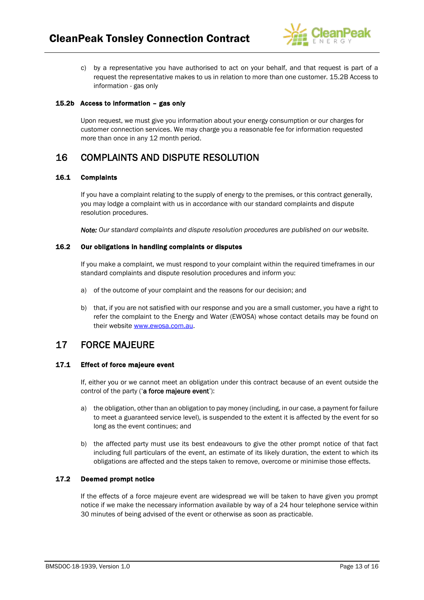

c) by a representative you have authorised to act on your behalf, and that request is part of a request the representative makes to us in relation to more than one customer. 15.2B Access to information - gas only

### 15.2b Access to information – gas only

Upon request, we must give you information about your energy consumption or our charges for customer connection services. We may charge you a reasonable fee for information requested more than once in any 12 month period.

# 16 COMPLAINTS AND DISPUTE RESOLUTION

# 16.1 Complaints

If you have a complaint relating to the supply of energy to the premises, or this contract generally, you may lodge a complaint with us in accordance with our standard complaints and dispute resolution procedures.

*Note: Our standard complaints and dispute resolution procedures are published on our website.* 

#### 16.2 Our obligations in handling complaints or disputes

If you make a complaint, we must respond to your complaint within the required timeframes in our standard complaints and dispute resolution procedures and inform you:

- a) of the outcome of your complaint and the reasons for our decision; and
- b) that, if you are not satisfied with our response and you are a small customer, you have a right to refer the complaint to the Energy and Water (EWOSA) whose contact details may be found on their website [www.ewosa.com.au.](http://www.ewosa.com.au/)

# 17 FORCE MAJEURE

# 17.1 Effect of force majeure event

If, either you or we cannot meet an obligation under this contract because of an event outside the control of the party ('a force majeure event'):

- a) the obligation, other than an obligation to pay money (including, in our case, a payment for failure to meet a guaranteed service level), is suspended to the extent it is affected by the event for so long as the event continues; and
- b) the affected party must use its best endeavours to give the other prompt notice of that fact including full particulars of the event, an estimate of its likely duration, the extent to which its obligations are affected and the steps taken to remove, overcome or minimise those effects.

# 17.2 Deemed prompt notice

If the effects of a force majeure event are widespread we will be taken to have given you prompt notice if we make the necessary information available by way of a 24 hour telephone service within 30 minutes of being advised of the event or otherwise as soon as practicable.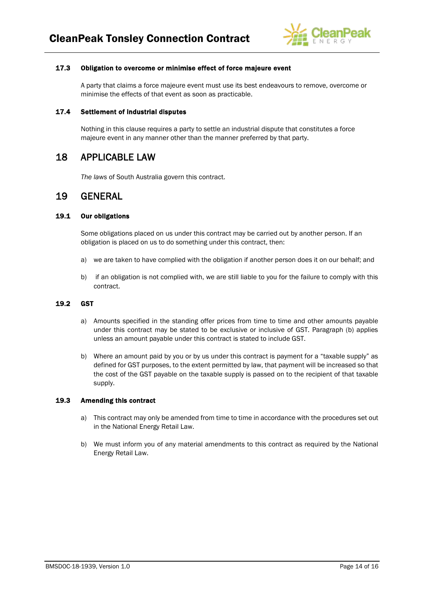

# 17.3 Obligation to overcome or minimise effect of force majeure event

A party that claims a force majeure event must use its best endeavours to remove, overcome or minimise the effects of that event as soon as practicable.

### 17.4 Settlement of industrial disputes

Nothing in this clause requires a party to settle an industrial dispute that constitutes a force majeure event in any manner other than the manner preferred by that party.

# 18 APPLICABLE LAW

*The laws* of South Australia govern this contract.

# 19 GENERAL

# 19.1 Our obligations

Some obligations placed on us under this contract may be carried out by another person. If an obligation is placed on us to do something under this contract, then:

- a) we are taken to have complied with the obligation if another person does it on our behalf; and
- b) if an obligation is not complied with, we are still liable to you for the failure to comply with this contract.

### 19.2 GST

- a) Amounts specified in the standing offer prices from time to time and other amounts payable under this contract may be stated to be exclusive or inclusive of GST. Paragraph (b) applies unless an amount payable under this contract is stated to include GST.
- b) Where an amount paid by you or by us under this contract is payment for a "taxable supply" as defined for GST purposes, to the extent permitted by law, that payment will be increased so that the cost of the GST payable on the taxable supply is passed on to the recipient of that taxable supply.

#### 19.3 Amending this contract

- a) This contract may only be amended from time to time in accordance with the procedures set out in the National Energy Retail Law.
- b) We must inform you of any material amendments to this contract as required by the National Energy Retail Law.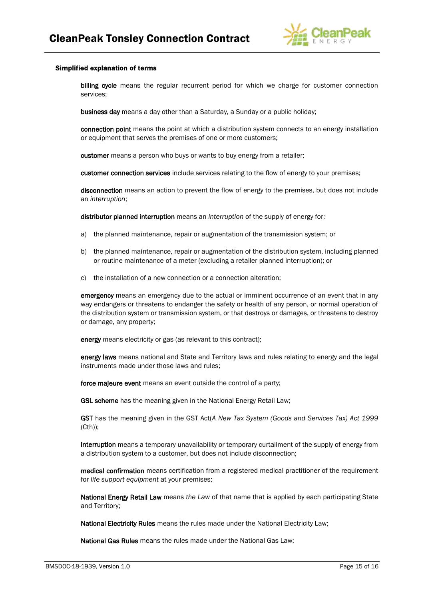

#### Simplified explanation of terms

billing cycle means the regular recurrent period for which we charge for customer connection services;

business day means a day other than a Saturday, a Sunday or a public holiday;

connection point means the point at which a distribution system connects to an energy installation or equipment that serves the premises of one or more customers;

customer means a person who buys or wants to buy energy from a retailer;

customer connection services include services relating to the flow of energy to your premises;

disconnection means an action to prevent the flow of energy to the premises, but does not include an *interruption*;

distributor planned interruption means an *interruption* of the supply of energy for:

- a) the planned maintenance, repair or augmentation of the transmission system; or
- b) the planned maintenance, repair or augmentation of the distribution system, including planned or routine maintenance of a meter (excluding a retailer planned interruption); or
- c) the installation of a new connection or a connection alteration;

emergency means an emergency due to the actual or imminent occurrence of an event that in any way endangers or threatens to endanger the safety or health of any person, or normal operation of the distribution system or transmission system, or that destroys or damages, or threatens to destroy or damage, any property;

energy means electricity or gas (as relevant to this contract);

energy laws means national and State and Territory laws and rules relating to energy and the legal instruments made under those laws and rules;

force majeure event means an event outside the control of a party;

GSL scheme has the meaning given in the National Energy Retail Law;

GST has the meaning given in the GST Act(*A New Tax System (Goods and Services Tax) Act 1999*  (Cth));

interruption means a temporary unavailability or temporary curtailment of the supply of energy from a distribution system to a customer, but does not include disconnection;

medical confirmation means certification from a registered medical practitioner of the requirement for *life support equipment* at your premises;

National Energy Retail Law means *the Law* of that name that is applied by each participating State and Territory;

National Electricity Rules means the rules made under the National Electricity Law;

National Gas Rules means the rules made under the National Gas Law;